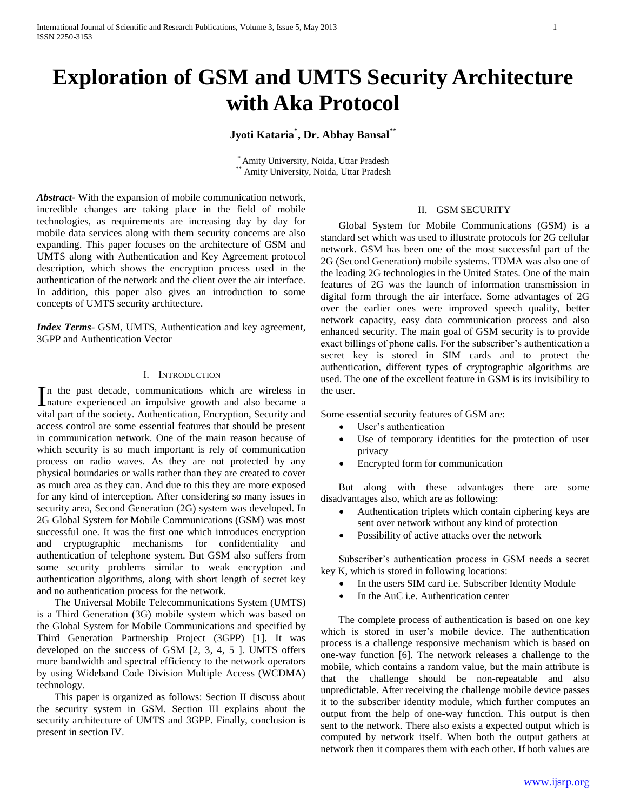# **Exploration of GSM and UMTS Security Architecture with Aka Protocol**

## **Jyoti Kataria\* , Dr. Abhay Bansal\*\***

\* Amity University, Noida, Uttar Pradesh Amity University, Noida, Uttar Pradesh

*Abstract***-** With the expansion of mobile communication network, incredible changes are taking place in the field of mobile technologies, as requirements are increasing day by day for mobile data services along with them security concerns are also expanding. This paper focuses on the architecture of GSM and UMTS along with Authentication and Key Agreement protocol description, which shows the encryption process used in the authentication of the network and the client over the air interface. In addition, this paper also gives an introduction to some concepts of UMTS security architecture.

*Index Terms*- GSM, UMTS, Authentication and key agreement, 3GPP and Authentication Vector

#### I. INTRODUCTION

n the past decade, communications which are wireless in In the past decade, communications which are wireless in anature experienced an impulsive growth and also became a vital part of the society. Authentication, Encryption, Security and access control are some essential features that should be present in communication network. One of the main reason because of which security is so much important is rely of communication process on radio waves. As they are not protected by any physical boundaries or walls rather than they are created to cover as much area as they can. And due to this they are more exposed for any kind of interception. After considering so many issues in security area, Second Generation (2G) system was developed. In 2G Global System for Mobile Communications (GSM) was most successful one. It was the first one which introduces encryption and cryptographic mechanisms for confidentiality and authentication of telephone system. But GSM also suffers from some security problems similar to weak encryption and authentication algorithms, along with short length of secret key and no authentication process for the network.

 The Universal Mobile Telecommunications System (UMTS) is a Third Generation (3G) mobile system which was based on the Global System for Mobile Communications and specified by Third Generation Partnership Project (3GPP) [1]. It was developed on the success of GSM [2, 3, 4, 5 ]. UMTS offers more bandwidth and spectral efficiency to the network operators by using Wideband Code Division Multiple Access (WCDMA) technology.

 This paper is organized as follows: Section II discuss about the security system in GSM. Section III explains about the security architecture of UMTS and 3GPP. Finally, conclusion is present in section IV.

#### II. GSM SECURITY

 Global System for Mobile Communications (GSM) is a standard set which was used to illustrate protocols for 2G cellular network. GSM has been one of the most successful part of the 2G (Second Generation) mobile systems. TDMA was also one of the leading 2G technologies in the United States. One of the main features of 2G was the launch of information transmission in digital form through the air interface. Some advantages of 2G over the earlier ones were improved speech quality, better network capacity, easy data communication process and also enhanced security. The main goal of GSM security is to provide exact billings of phone calls. For the subscriber's authentication a secret key is stored in SIM cards and to protect the authentication, different types of cryptographic algorithms are used. The one of the excellent feature in GSM is its invisibility to the user.

Some essential security features of GSM are:

- User's authentication
- Use of temporary identities for the protection of user privacy
- Encrypted form for communication

 But along with these advantages there are some disadvantages also, which are as following:

- Authentication triplets which contain ciphering keys are sent over network without any kind of protection
- Possibility of active attacks over the network

 Subscriber's authentication process in GSM needs a secret key K, which is stored in following locations:

- In the users SIM card i.e. Subscriber Identity Module
- In the AuC i.e. Authentication center

 The complete process of authentication is based on one key which is stored in user's mobile device. The authentication process is a challenge responsive mechanism which is based on one-way function [6]. The network releases a challenge to the mobile, which contains a random value, but the main attribute is that the challenge should be non-repeatable and also unpredictable. After receiving the challenge mobile device passes it to the subscriber identity module, which further computes an output from the help of one-way function. This output is then sent to the network. There also exists a expected output which is computed by network itself. When both the output gathers at network then it compares them with each other. If both values are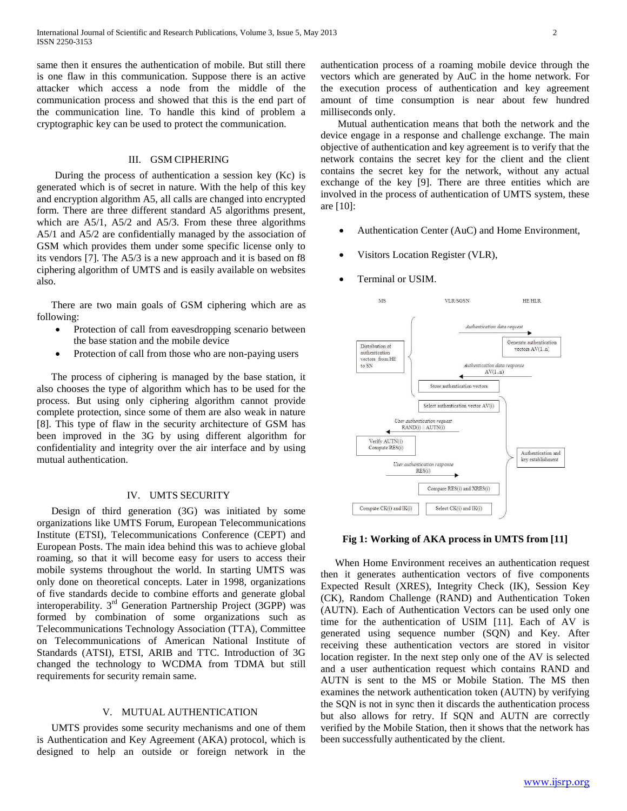same then it ensures the authentication of mobile. But still there is one flaw in this communication. Suppose there is an active attacker which access a node from the middle of the communication process and showed that this is the end part of the communication line. To handle this kind of problem a cryptographic key can be used to protect the communication.

#### III. GSM CIPHERING

 During the process of authentication a session key (Kc) is generated which is of secret in nature. With the help of this key and encryption algorithm A5, all calls are changed into encrypted form. There are three different standard A5 algorithms present, which are A5/1, A5/2 and A5/3. From these three algorithms A5/1 and A5/2 are confidentially managed by the association of GSM which provides them under some specific license only to its vendors [7]. The A5/3 is a new approach and it is based on f8 ciphering algorithm of UMTS and is easily available on websites also.

 There are two main goals of GSM ciphering which are as following:

- Protection of call from eavesdropping scenario between the base station and the mobile device
- Protection of call from those who are non-paying users

 The process of ciphering is managed by the base station, it also chooses the type of algorithm which has to be used for the process. But using only ciphering algorithm cannot provide complete protection, since some of them are also weak in nature [8]. This type of flaw in the security architecture of GSM has been improved in the 3G by using different algorithm for confidentiality and integrity over the air interface and by using mutual authentication.

### IV. UMTS SECURITY

 Design of third generation (3G) was initiated by some organizations like UMTS Forum, European Telecommunications Institute (ETSI), Telecommunications Conference (CEPT) and European Posts. The main idea behind this was to achieve global roaming, so that it will become easy for users to access their mobile systems throughout the world. In starting UMTS was only done on theoretical concepts. Later in 1998, organizations of five standards decide to combine efforts and generate global interoperability.  $3<sup>rd</sup>$  Generation Partnership Project (3GPP) was formed by combination of some organizations such as Telecommunications Technology Association (TTA), Committee on Telecommunications of American National Institute of Standards (ATSI), ETSI, ARIB and TTC. Introduction of 3G changed the technology to WCDMA from TDMA but still requirements for security remain same.

#### V. MUTUAL AUTHENTICATION

 UMTS provides some security mechanisms and one of them is Authentication and Key Agreement (AKA) protocol, which is designed to help an outside or foreign network in the

authentication process of a roaming mobile device through the vectors which are generated by AuC in the home network. For the execution process of authentication and key agreement amount of time consumption is near about few hundred milliseconds only.

 Mutual authentication means that both the network and the device engage in a response and challenge exchange. The main objective of authentication and key agreement is to verify that the network contains the secret key for the client and the client contains the secret key for the network, without any actual exchange of the key [9]. There are three entities which are involved in the process of authentication of UMTS system, these are [10]:

- Authentication Center (AuC) and Home Environment,
- Visitors Location Register (VLR),
- Terminal or USIM.



#### **Fig 1: Working of AKA process in UMTS from [11]**

 When Home Environment receives an authentication request then it generates authentication vectors of five components Expected Result (XRES), Integrity Check (IK), Session Key (CK), Random Challenge (RAND) and Authentication Token (AUTN). Each of Authentication Vectors can be used only one time for the authentication of USIM [11]. Each of AV is generated using sequence number (SQN) and Key. After receiving these authentication vectors are stored in visitor location register. In the next step only one of the AV is selected and a user authentication request which contains RAND and AUTN is sent to the MS or Mobile Station. The MS then examines the network authentication token (AUTN) by verifying the SQN is not in sync then it discards the authentication process but also allows for retry. If SQN and AUTN are correctly verified by the Mobile Station, then it shows that the network has been successfully authenticated by the client.